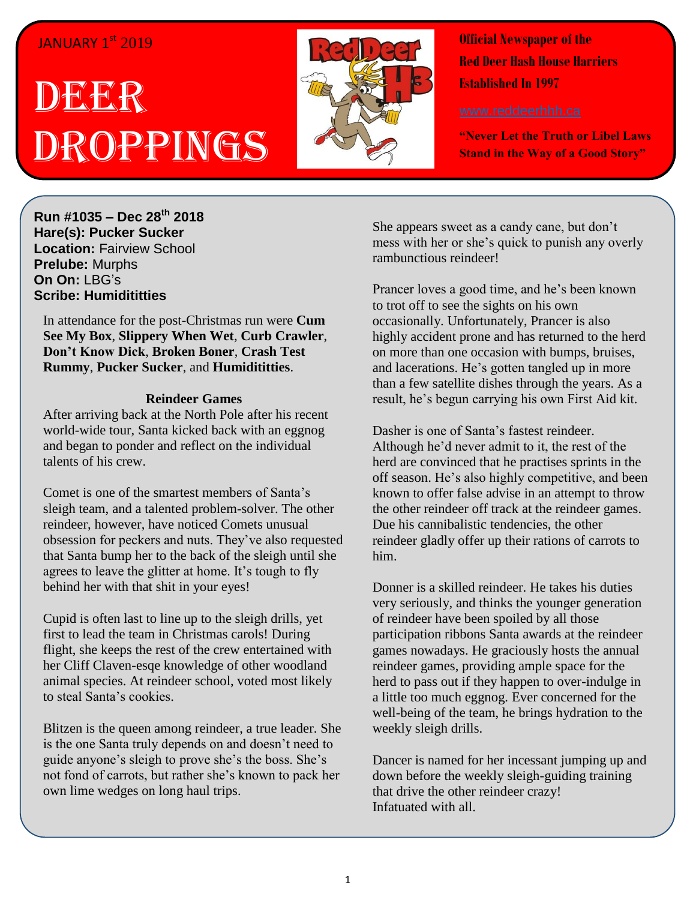## JANUARY 1<sup>st</sup> 2019

## DEECR<sup>R</sup> Droppings



**Official Newspaper of the Red Deer Hash House Harriers Established In 1997** 

**"Never Let the Truth or Libel Laws Stand in the Way of a Good Story"**

**Run #1035 – Dec 28 th 2018 Hare(s): Pucker Sucker Location:** Fairview School **Prelube:** Murphs **On On:** LBG's **Scribe: Humidititties**

In attendance for the post-Christmas run were **Cum See My Box**, **Slippery When Wet**, **Curb Crawler**, **Don't Know Dick**, **Broken Boner**, **Crash Test Rummy**, **Pucker Sucker**, and **Humidititties**.

## **Reindeer Games**

After arriving back at the North Pole after his recent world-wide tour, Santa kicked back with an eggnog and began to ponder and reflect on the individual talents of his crew.

Comet is one of the smartest members of Santa's sleigh team, and a talented problem-solver. The other reindeer, however, have noticed Comets unusual obsession for peckers and nuts. They've also requested that Santa bump her to the back of the sleigh until she agrees to leave the glitter at home. It's tough to fly behind her with that shit in your eyes!

Cupid is often last to line up to the sleigh drills, yet first to lead the team in Christmas carols! During flight, she keeps the rest of the crew entertained with her Cliff Claven-esqe knowledge of other woodland animal species. At reindeer school, voted most likely to steal Santa's cookies.

Blitzen is the queen among reindeer, a true leader. She is the one Santa truly depends on and doesn't need to guide anyone's sleigh to prove she's the boss. She's not fond of carrots, but rather she's known to pack her own lime wedges on long haul trips.

She appears sweet as a candy cane, but don't mess with her or she's quick to punish any overly rambunctious reindeer!

Prancer loves a good time, and he's been known to trot off to see the sights on his own occasionally. Unfortunately, Prancer is also highly accident prone and has returned to the herd on more than one occasion with bumps, bruises, and lacerations. He's gotten tangled up in more than a few satellite dishes through the years. As a result, he's begun carrying his own First Aid kit.

Dasher is one of Santa's fastest reindeer. Although he'd never admit to it, the rest of the herd are convinced that he practises sprints in the off season. He's also highly competitive, and been known to offer false advise in an attempt to throw the other reindeer off track at the reindeer games. Due his cannibalistic tendencies, the other reindeer gladly offer up their rations of carrots to him.

Donner is a skilled reindeer. He takes his duties very seriously, and thinks the younger generation of reindeer have been spoiled by all those participation ribbons Santa awards at the reindeer games nowadays. He graciously hosts the annual reindeer games, providing ample space for the herd to pass out if they happen to over-indulge in a little too much eggnog. Ever concerned for the well-being of the team, he brings hydration to the weekly sleigh drills.

Dancer is named for her incessant jumping up and down before the weekly sleigh-guiding training that drive the other reindeer crazy! Infatuated with all.